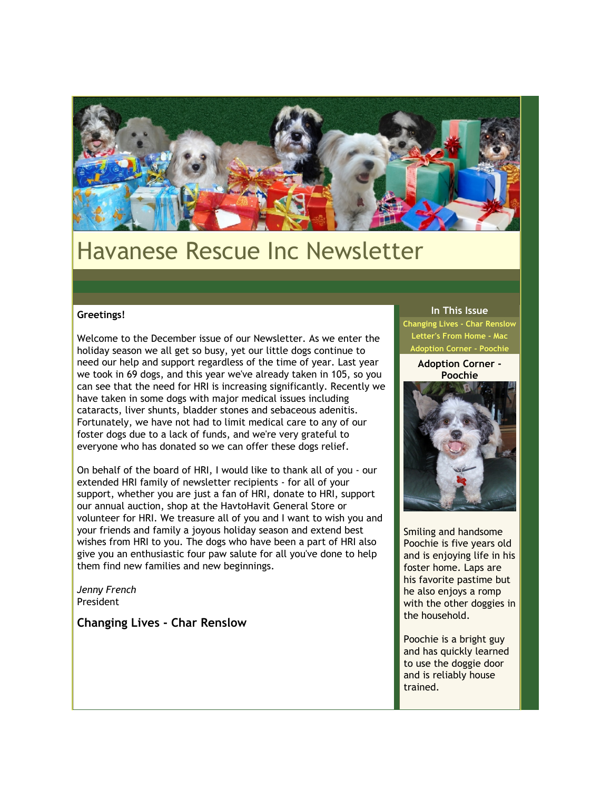

# Havanese Rescue Inc Newsletter

### **Greetings!**

Welcome to the December issue of our Newsletter. As we enter the holiday season we all get so busy, yet our little dogs continue to need our help and support regardless of the time of year. Last year we took in 69 dogs, and this year we've already taken in 105, so you can see that the need for HRI is increasing significantly. Recently we have taken in some dogs with major medical issues including cataracts, liver shunts, bladder stones and sebaceous adenitis. Fortunately, we have not had to limit medical care to any of our foster dogs due to a lack of funds, and we're very grateful to everyone who has donated so we can offer these dogs relief.

On behalf of the board of HRI, I would like to thank all of you - our extended HRI family of newsletter recipients - for all of your support, whether you are just a fan of HRI, donate to HRI, support our annual auction, shop at the HavtoHavit General Store or volunteer for HRI. We treasure all of you and I want to wish you and your friends and family a joyous holiday season and extend best wishes from HRI to you. The dogs who have been a part of HRI also give you an enthusiastic four paw salute for all you've done to help them find new families and new beginnings.

*Jenny French* President

**Changing Lives - Char Renslow**

#### **In This Issue**

**[Changing Lives - Char Renslow](https://mail.google.com/mail/?ui=2&view=bsp&ver=1qygpcgurkovy#12595e1738c0d73a_LETTER.BLOCK4) [Letter's From Home - Mac](https://mail.google.com/mail/?ui=2&view=bsp&ver=1qygpcgurkovy#12595e1738c0d73a_LETTER.BLOCK5) Adoption Corner - Pooch** 

> **Adoption Corner - Poochie**



Smiling and handsome Poochie is five years old and is enjoying life in his foster home. Laps are his favorite pastime but he also enjoys a romp with the other doggies in the household.

Poochie is a bright guy and has quickly learned to use the doggie door and is reliably house trained.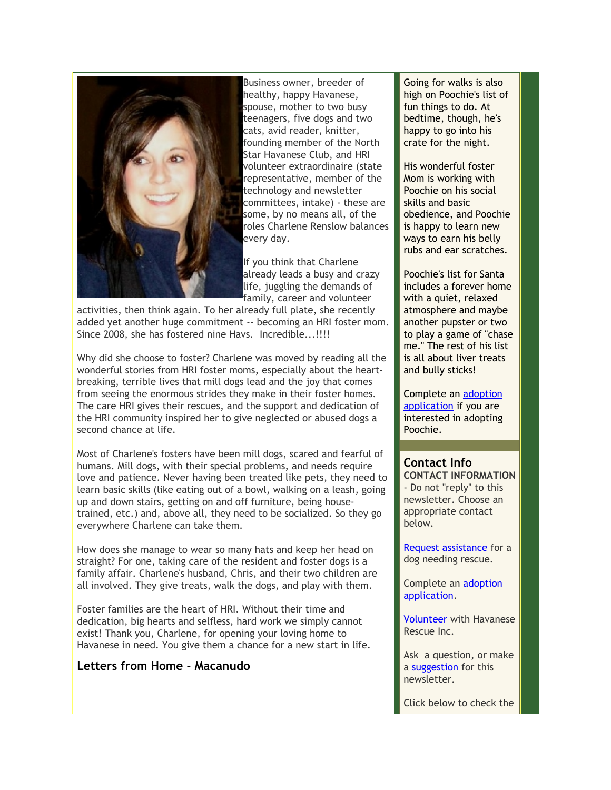

Business owner, breeder of healthy, happy Havanese, spouse, mother to two busy teenagers, five dogs and two cats, avid reader, knitter, founding member of the North Star Havanese Club, and HRI volunteer extraordinaire (state representative, member of the technology and newsletter committees, intake) - these are some, by no means all, of the roles Charlene Renslow balances every day.

If you think that Charlene already leads a busy and crazy life, juggling the demands of family, career and volunteer

activities, then think again. To her already full plate, she recently added yet another huge commitment -- becoming an HRI foster mom. Since 2008, she has fostered nine Havs. Incredible...!!!!

Why did she choose to foster? Charlene was moved by reading all the wonderful stories from HRI foster moms, especially about the heartbreaking, terrible lives that mill dogs lead and the joy that comes from seeing the enormous strides they make in their foster homes. The care HRI gives their rescues, and the support and dedication of the HRI community inspired her to give neglected or abused dogs a second chance at life.

Most of Charlene's fosters have been mill dogs, scared and fearful of humans. Mill dogs, with their special problems, and needs require love and patience. Never having been treated like pets, they need to learn basic skills (like eating out of a bowl, walking on a leash, going up and down stairs, getting on and off furniture, being housetrained, etc.) and, above all, they need to be socialized. So they go everywhere Charlene can take them.

How does she manage to wear so many hats and keep her head on straight? For one, taking care of the resident and foster dogs is a family affair. Charlene's husband, Chris, and their two children are all involved. They give treats, walk the dogs, and play with them.

Foster families are the heart of HRI. Without their time and dedication, big hearts and selfless, hard work we simply cannot exist! Thank you, Charlene, for opening your loving home to Havanese in need. You give them a chance for a new start in life.

# **Letters from Home - Macanudo**

Going for walks is also high on Poochie's list of fun things to do. At bedtime, though, he's happy to go into his crate for the night.

His wonderful foster Mom is working with Poochie on his social skills and basic obedience, and Poochie is happy to learn new ways to earn his belly rubs and ear scratches.

Poochie's list for Santa includes a forever home with a quiet, relaxed atmosphere and maybe another pupster or two to play a game of "chase me." The rest of his list is all about liver treats and bully sticks!

Complete an [adoption](http://rs6.net/tn.jsp?et=1102885805654&s=2126&e=001xTlCdtZNI61lnY9kRQ6ymai_PfL0U3XSKonklJc3ahKGggiG1wT7qNrM6-uJ1H3B29q5r_SRYZ-MPBRmxHRYG2bu5ZxEBG-nkxR4Ko4jVA4lhyY-3GYc6AObsiw03ohZmM6Mc_ZBWkE=) [application](http://rs6.net/tn.jsp?et=1102885805654&s=2126&e=001xTlCdtZNI61lnY9kRQ6ymai_PfL0U3XSKonklJc3ahKGggiG1wT7qNrM6-uJ1H3B29q5r_SRYZ-MPBRmxHRYG2bu5ZxEBG-nkxR4Ko4jVA4lhyY-3GYc6AObsiw03ohZmM6Mc_ZBWkE=) if you are interested in adopting Poochie.

# **Contact Info**

**CONTACT INFORMATION** - Do not "reply" to this newsletter. Choose an appropriate contact below.

[Request assistance](http://rs6.net/tn.jsp?et=1102885805654&s=2126&e=001xTlCdtZNI63uyPIf-gidJ6zjYgB1gxKl0W104SmYuYIOPcWJ2pBLq-5KmQpEZIZJ9KF0LJgo5UukVsQRnpjKipWDk2dbnogJOewd9WrPL1W-88iU5zH_pQbweK_gMVWUwh44vJXDLmw=) for a dog needing rescue.

Complete an [adoption](http://rs6.net/tn.jsp?et=1102885805654&s=2126&e=001xTlCdtZNI61lnY9kRQ6ymai_PfL0U3XSKonklJc3ahKGggiG1wT7qNrM6-uJ1H3B29q5r_SRYZ-MPBRmxHRYG2bu5ZxEBG-nkxR4Ko4jVA4lhyY-3GYc6AObsiw03ohZmM6Mc_ZBWkE=) [application.](http://rs6.net/tn.jsp?et=1102885805654&s=2126&e=001xTlCdtZNI61lnY9kRQ6ymai_PfL0U3XSKonklJc3ahKGggiG1wT7qNrM6-uJ1H3B29q5r_SRYZ-MPBRmxHRYG2bu5ZxEBG-nkxR4Ko4jVA4lhyY-3GYc6AObsiw03ohZmM6Mc_ZBWkE=)

[Volunteer](http://rs6.net/tn.jsp?et=1102885805654&s=2126&e=001xTlCdtZNI62dCGHIzv7NPzhRKs5JXoNrEjG2lJN83llcAADIw9-NwD3LvHFYAdN_tElrhF_zgttxCYufADlb_IqX4F3NZuPrYXH0Z14olpL6JA0-BqmFQH4mdcFNYDHnc5PfXXG6z9J30ZumRnX6j_UJZkCvIgIsKI8sztVf4Nox27bYLVX0DsaGfsnD4s-Z) with Havanese Rescue Inc.

Ask a question, or make a [suggestion](http://rs6.net/tn.jsp?et=1102885805654&s=2126&e=001xTlCdtZNI617Cd220EPWBd3rYNjZapuB4v1-gaA4jud89jW5cLvUvqV6M-Kw2YUGyScrlb_T3620Z7ZtPQW8UmP1suXaopp4cTUdxyMEne8nRhaULPCgvRNJe3Nc8SECD0J6v1Q2Ob66gvzcynndlYl78M5nu0CdnG55-whRwGeCBoJFFII0aSO85FNoKzX041dng5GqRPPPiyEasFsJteGixtKYvvfsDixtXC9NfjM8IN0tHuvTgteSggbD7LDJ-GPcbxo1M588FJkNdNpyA7Dz1ldBwGLnIyyFWGmHDFA=) for this newsletter.

Click below to check the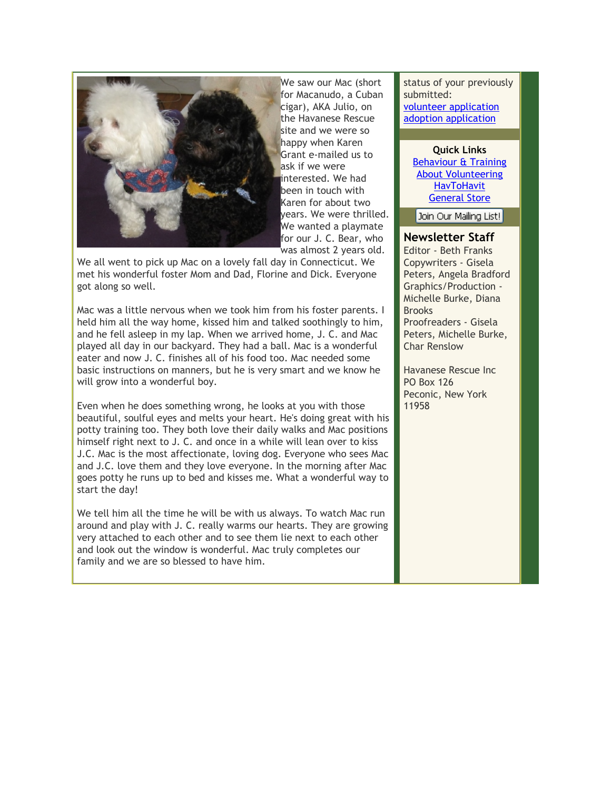

We saw our Mac (short for Macanudo, a Cuban cigar), AKA Julio, on the Havanese Rescue site and we were so happy when Karen Grant e-mailed us to ask if we were interested. We had been in touch with Karen for about two years. We were thrilled. We wanted a playmate for our J. C. Bear, who was almost 2 years old.

We all went to pick up Mac on a lovely fall day in Connecticut. We met his wonderful foster Mom and Dad, Florine and Dick. Everyone got along so well.

Mac was a little nervous when we took him from his foster parents. I held him all the way home, kissed him and talked soothingly to him, and he fell asleep in my lap. When we arrived home, J. C. and Mac played all day in our backyard. They had a ball. Mac is a wonderful eater and now J. C. finishes all of his food too. Mac needed some basic instructions on manners, but he is very smart and we know he will grow into a wonderful boy.

Even when he does something wrong, he looks at you with those beautiful, soulful eyes and melts your heart. He's doing great with his potty training too. They both love their daily walks and Mac positions himself right next to J. C. and once in a while will lean over to kiss J.C. Mac is the most affectionate, loving dog. Everyone who sees Mac and J.C. love them and they love everyone. In the morning after Mac goes potty he runs up to bed and kisses me. What a wonderful way to start the day!

We tell him all the time he will be with us always. To watch Mac run around and play with J. C. really warms our hearts. They are growing very attached to each other and to see them lie next to each other and look out the window is wonderful. Mac truly completes our family and we are so blessed to have him.

status of your previously submitted: [volunteer application](http://rs6.net/tn.jsp?et=1102885805654&s=2126&e=001xTlCdtZNI61BQiZ1rCdL182RMtmzcSpyUaWqPHQdMe4RcA9OFm0l6I-uicbJHMzIW1J1zbGO4j_iQ9t8MLqbOlMUboH71h63EQkn6qgO630ORd86fVclVVxj2GynbLRz2Ol7TL-jc9ahvx6NVS8O31opv9XrUGN37mNU5fuENvQmWk_Io5v_FC9QMx5JTEBC9HkCDudpM4AkEXqQ1WKRXov24qk06wrOxCT6PESLeG4Bswtx2gmWNucw3ty1Y9nGr2-Sk-1RA8ozGP0SKwuzOUZNcILrVXqHlJxKnxfCo2KU1c8_g3Ezwg==) [adoption application](http://rs6.net/tn.jsp?et=1102885805654&s=2126&e=001xTlCdtZNI608NZi9HhRjzd7_t4pTagSmZH-id_v3LgZfK_OepCKd5r3hDa--4lsjxl5zw-htuRRBnKsalYChdKl5hllkukYYkDIFVXdz7_jFmUE4OeMTpJX3Odq5yIqctumydwO-jDo=)

**Quick Links** [Behaviour & Training](http://rs6.net/tn.jsp?et=1102885805654&s=2126&e=001xTlCdtZNI63u_Z5aLuPDW6DNOpvVYNbcsZk3e6lmA_15eVAfZ2Fnm3RRyAEMX9sSkAtzvwq5zwT_7fQYh6QKwUhfkU6IYvWmnYo4t8_H0jAn0NL7EDANnk78DdGijTqhZ_JPsMiAYkRWt3ltE5NgtPfaDZU4foupcUExsPHgXkWei7IzxMIJOoQiGIlr3_TWn4-NwEv3rhRQUzHYwWPVVA==) [About Volunteering](http://rs6.net/tn.jsp?et=1102885805654&s=2126&e=001xTlCdtZNI62b-BZwrFztaRPjWl-HWrreGSJJF-wugF8l1GXxlnS3g6q6cA8S-bE_gpDZ714Y7ki7DPzUmxW_mxlntCOPGSgLwb-YYbus1pKUIZkfbHxIpb3Lwn0rkvOymh3Tlv0p9oE-rKfwZVeqH-OMFYNqY1QNZPU90-lA5P95DyE3B-H3_oA0ZursMUIV6mpN19KwWu_Ph1iHjDIbLNlsTIEusxDDQkTy2Wz4hTJ7Le4mteQ38Vl1HXqa9ETQ364mJ69iHDBfyvhGJ5Y53A==) **[HavToHavit](http://rs6.net/tn.jsp?et=1102885805654&s=2126&e=001xTlCdtZNI61ckTDSM7Xxu6Q-BL6xwbyiYGN6ceCowc5MMDAyMVYJJUk1pFcKrYuhE-KVLjf1nwqEQMxPCYDc9-sOojsxyd8f59neY88j4d2gZc4EHBb3yg==)** [General Store](http://rs6.net/tn.jsp?et=1102885805654&s=2126&e=001xTlCdtZNI61ckTDSM7Xxu6Q-BL6xwbyiYGN6ceCowc5MMDAyMVYJJUk1pFcKrYuhE-KVLjf1nwqEQMxPCYDc9-sOojsxyd8f59neY88j4d2gZc4EHBb3yg==)

Join Our Mailing List!

## **Newsletter Staff**

Editor - Beth Franks Copywriters - Gisela Peters, Angela Bradford Graphics/Production - Michelle Burke, Diana Brooks Proofreaders - Gisela Peters, Michelle Burke, Char Renslow

Havanese Rescue Inc PO Box 126 Peconic, New York 11958